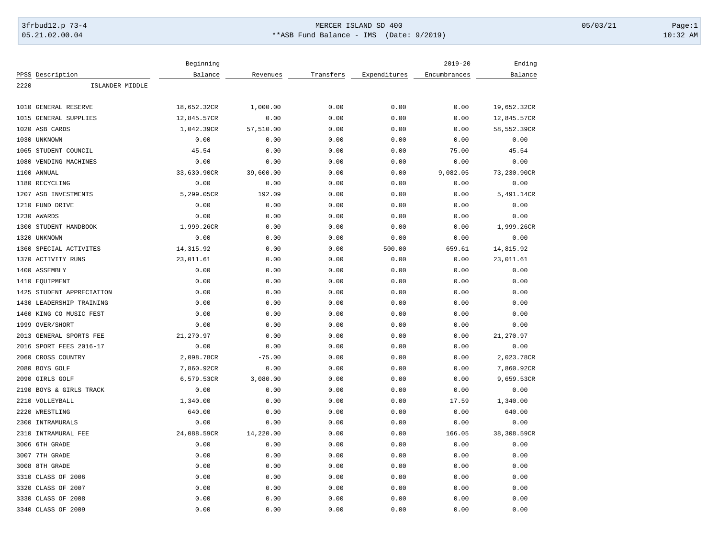## 3frbud12.p 73-4 Page:1 Page:1 05.21.02.00.04 \*\*ASB Fund Balance - IMS (Date: 9/2019) 10:32 AM

|                                 | Beginning   |           |           |              | $2019 - 20$  | Ending      |
|---------------------------------|-------------|-----------|-----------|--------------|--------------|-------------|
| PPSS Description                | Balance     | Revenues  | Transfers | Expenditures | Encumbrances | Balance     |
| 2220<br>ISLANDER MIDDLE         |             |           |           |              |              |             |
|                                 |             |           |           |              |              |             |
| 1010<br><b>GENERAL RESERVE</b>  | 18,652.32CR | 1,000.00  | 0.00      | 0.00         | 0.00         | 19,652.32CR |
| 1015<br><b>GENERAL SUPPLIES</b> | 12,845.57CR | 0.00      | 0.00      | 0.00         | 0.00         | 12,845.57CR |
| 1020<br>ASB CARDS               | 1,042.39CR  | 57,510.00 | 0.00      | 0.00         | 0.00         | 58,552.39CR |
| 1030 UNKNOWN                    | 0.00        | 0.00      | 0.00      | 0.00         | 0.00         | 0.00        |
| 1065 STUDENT COUNCIL            | 45.54       | 0.00      | 0.00      | 0.00         | 75.00        | 45.54       |
| 1080<br>VENDING MACHINES        | 0.00        | 0.00      | 0.00      | 0.00         | 0.00         | 0.00        |
| 1100 ANNUAL                     | 33,630.90CR | 39,600.00 | 0.00      | 0.00         | 9,082.05     | 73,230.90CR |
| 1180 RECYCLING                  | 0.00        | 0.00      | 0.00      | 0.00         | 0.00         | 0.00        |
| 1207 ASB INVESTMENTS            | 5,299.05CR  | 192.09    | 0.00      | 0.00         | 0.00         | 5,491.14CR  |
| FUND DRIVE<br>1210              | 0.00        | 0.00      | 0.00      | 0.00         | 0.00         | 0.00        |
| 1230 AWARDS                     | 0.00        | 0.00      | 0.00      | 0.00         | 0.00         | 0.00        |
| STUDENT HANDBOOK<br>1300        | 1,999.26CR  | 0.00      | 0.00      | 0.00         | 0.00         | 1,999.26CR  |
| 1320<br>UNKNOWN                 | 0.00        | 0.00      | 0.00      | 0.00         | 0.00         | 0.00        |
| 1360 SPECIAL ACTIVITES          | 14,315.92   | 0.00      | 0.00      | 500.00       | 659.61       | 14,815.92   |
| 1370 ACTIVITY RUNS              | 23,011.61   | 0.00      | 0.00      | 0.00         | 0.00         | 23,011.61   |
| 1400 ASSEMBLY                   | 0.00        | 0.00      | 0.00      | 0.00         | 0.00         | 0.00        |
| 1410<br>EQUIPMENT               | 0.00        | 0.00      | 0.00      | 0.00         | 0.00         | 0.00        |
| 1425<br>STUDENT APPRECIATION    | 0.00        | 0.00      | 0.00      | 0.00         | 0.00         | 0.00        |
| 1430<br>LEADERSHIP TRAINING     | 0.00        | 0.00      | 0.00      | 0.00         | 0.00         | 0.00        |
| 1460 KING CO MUSIC FEST         | 0.00        | 0.00      | 0.00      | 0.00         | 0.00         | 0.00        |
| 1999<br>OVER/SHORT              | 0.00        | 0.00      | 0.00      | 0.00         | 0.00         | 0.00        |
| GENERAL SPORTS FEE<br>2013      | 21,270.97   | 0.00      | 0.00      | 0.00         | 0.00         | 21,270.97   |
| 2016 SPORT FEES 2016-17         | 0.00        | 0.00      | 0.00      | 0.00         | 0.00         | 0.00        |
| 2060<br>CROSS COUNTRY           | 2,098.78CR  | $-75.00$  | 0.00      | 0.00         | 0.00         | 2,023.78CR  |
| 2080 BOYS GOLF                  | 7,860.92CR  | 0.00      | 0.00      | 0.00         | 0.00         | 7,860.92CR  |
| 2090<br>GIRLS GOLF              | 6,579.53CR  | 3,080.00  | 0.00      | 0.00         | 0.00         | 9,659.53CR  |
| 2190<br>BOYS & GIRLS TRACK      | 0.00        | 0.00      | 0.00      | 0.00         | 0.00         | 0.00        |
| 2210<br>VOLLEYBALL              | 1,340.00    | 0.00      | 0.00      | 0.00         | 17.59        | 1,340.00    |
| 2220<br>WRESTLING               | 640.00      | 0.00      | 0.00      | 0.00         | 0.00         | 640.00      |
| 2300<br>INTRAMURALS             | 0.00        | 0.00      | 0.00      | 0.00         | 0.00         | 0.00        |
| INTRAMURAL FEE<br>2310          | 24,088.59CR | 14,220.00 | 0.00      | 0.00         | 166.05       | 38,308.59CR |
| 3006 6TH GRADE                  | 0.00        | 0.00      | 0.00      | 0.00         | 0.00         | 0.00        |
| 3007 7TH GRADE                  | 0.00        | 0.00      | 0.00      | 0.00         | 0.00         | 0.00        |
| 3008 8TH GRADE                  | 0.00        | 0.00      | 0.00      | 0.00         | 0.00         | 0.00        |
| 3310<br>CLASS OF 2006           | 0.00        | 0.00      | 0.00      | 0.00         | 0.00         | 0.00        |
| 3320<br>CLASS OF 2007           | 0.00        | 0.00      | 0.00      | 0.00         | 0.00         | 0.00        |
| 3330 CLASS OF 2008              | 0.00        | 0.00      | 0.00      | 0.00         | 0.00         | 0.00        |
| 3340 CLASS OF 2009              | 0.00        | 0.00      | 0.00      | 0.00         | 0.00         | 0.00        |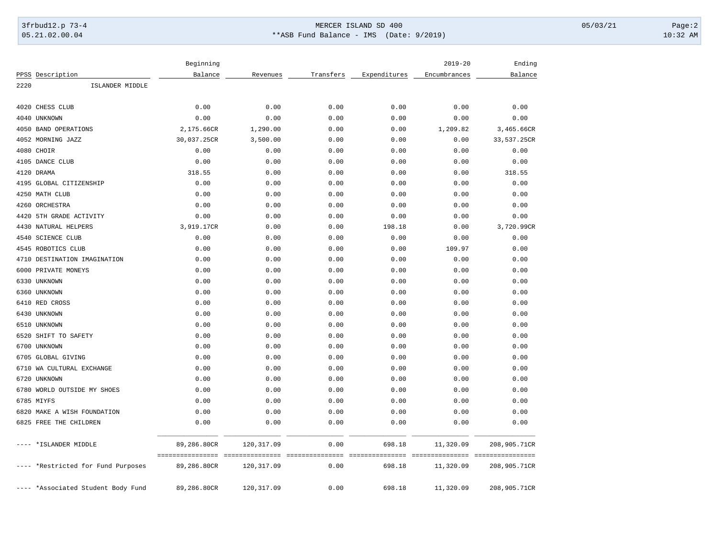## 3frbud12.p 73-4 Page:2 05.21.02.00.04 \*\*ASB Fund Balance - IMS (Date: 9/2019) 10:32 AM

|      |                                   | Beginning   |             |           |              | $2019 - 20$  | Ending                           |
|------|-----------------------------------|-------------|-------------|-----------|--------------|--------------|----------------------------------|
|      | PPSS Description                  | Balance     | Revenues    | Transfers | Expenditures | Encumbrances | Balance                          |
| 2220 | ISLANDER MIDDLE                   |             |             |           |              |              |                                  |
|      |                                   |             |             |           |              |              |                                  |
| 4020 | CHESS CLUB                        | 0.00        | 0.00        | 0.00      | 0.00         | 0.00         | 0.00                             |
|      | 4040 UNKNOWN                      | 0.00        | 0.00        | 0.00      | 0.00         | 0.00         | 0.00                             |
|      | 4050 BAND OPERATIONS              | 2,175.66CR  | 1,290.00    | 0.00      | 0.00         | 1,209.82     | 3,465.66CR                       |
|      | 4052 MORNING JAZZ                 | 30,037.25CR | 3,500.00    | 0.00      | 0.00         | 0.00         | 33,537.25CR                      |
|      | 4080 CHOIR                        | 0.00        | 0.00        | 0.00      | 0.00         | 0.00         | 0.00                             |
|      | 4105 DANCE CLUB                   | 0.00        | 0.00        | 0.00      | 0.00         | 0.00         | 0.00                             |
|      | 4120 DRAMA                        | 318.55      | 0.00        | 0.00      | 0.00         | 0.00         | 318.55                           |
|      | 4195 GLOBAL CITIZENSHIP           | 0.00        | 0.00        | 0.00      | 0.00         | 0.00         | 0.00                             |
|      | 4250 MATH CLUB                    | 0.00        | 0.00        | 0.00      | 0.00         | 0.00         | 0.00                             |
|      | 4260 ORCHESTRA                    | 0.00        | 0.00        | 0.00      | 0.00         | 0.00         | 0.00                             |
|      | 4420 5TH GRADE ACTIVITY           | 0.00        | 0.00        | 0.00      | 0.00         | 0.00         | 0.00                             |
|      | 4430 NATURAL HELPERS              | 3,919.17CR  | 0.00        | 0.00      | 198.18       | 0.00         | 3,720.99CR                       |
|      | 4540 SCIENCE CLUB                 | 0.00        | 0.00        | 0.00      | 0.00         | 0.00         | 0.00                             |
|      | 4545 ROBOTICS CLUB                | 0.00        | 0.00        | 0.00      | 0.00         | 109.97       | 0.00                             |
|      | 4710 DESTINATION IMAGINATION      | 0.00        | 0.00        | 0.00      | 0.00         | 0.00         | 0.00                             |
|      | 6000 PRIVATE MONEYS               | 0.00        | 0.00        | 0.00      | 0.00         | 0.00         | 0.00                             |
|      | 6330 UNKNOWN                      | 0.00        | 0.00        | 0.00      | 0.00         | 0.00         | 0.00                             |
|      | 6360 UNKNOWN                      | 0.00        | 0.00        | 0.00      | 0.00         | 0.00         | 0.00                             |
|      | 6410 RED CROSS                    | 0.00        | 0.00        | 0.00      | 0.00         | 0.00         | 0.00                             |
|      | 6430 UNKNOWN                      | 0.00        | 0.00        | 0.00      | 0.00         | 0.00         | 0.00                             |
|      | 6510 UNKNOWN                      | 0.00        | 0.00        | 0.00      | 0.00         | 0.00         | 0.00                             |
| 6520 | SHIFT TO SAFETY                   | 0.00        | 0.00        | 0.00      | 0.00         | 0.00         | 0.00                             |
| 6700 | UNKNOWN                           | 0.00        | 0.00        | 0.00      | 0.00         | 0.00         | 0.00                             |
| 6705 | <b>GLOBAL GIVING</b>              | 0.00        | 0.00        | 0.00      | 0.00         | 0.00         | 0.00                             |
|      | 6710 WA CULTURAL EXCHANGE         | 0.00        | 0.00        | 0.00      | 0.00         | 0.00         | 0.00                             |
|      | 6720 UNKNOWN                      | 0.00        | 0.00        | 0.00      | 0.00         | 0.00         | 0.00                             |
|      | 6780 WORLD OUTSIDE MY SHOES       | 0.00        | 0.00        | 0.00      | 0.00         | 0.00         | 0.00                             |
|      | 6785 MIYFS                        | 0.00        | 0.00        | 0.00      | 0.00         | 0.00         | 0.00                             |
|      | 6820 MAKE A WISH FOUNDATION       | 0.00        | 0.00        | 0.00      | 0.00         | 0.00         | 0.00                             |
|      | 6825 FREE THE CHILDREN            | 0.00        | 0.00        | 0.00      | 0.00         | 0.00         | 0.00                             |
|      | *ISLANDER MIDDLE                  | 89,286.80CR | 120, 317.09 | 0.00      | 698.18       | 11,320.09    | 208,905.71CR                     |
|      |                                   |             |             |           |              |              | -------------------------------- |
|      | *Restricted for Fund Purposes     | 89,286.80CR | 120, 317.09 | 0.00      | 698.18       | 11,320.09    | 208,905.71CR                     |
|      | --- *Associated Student Body Fund | 89,286.80CR | 120, 317.09 | 0.00      | 698.18       | 11,320.09    | 208,905.71CR                     |